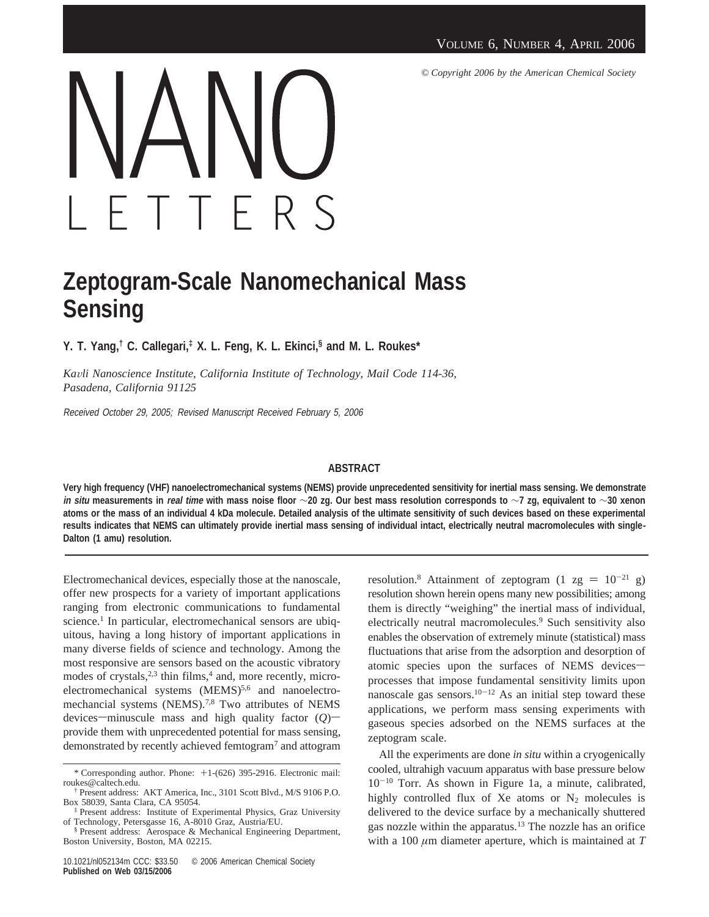*© Copyright 2006 by the American Chemical Society*



## **Zeptogram-Scale Nanomechanical Mass Sensing**

**Y. T. Yang,† C. Callegari,‡ X. L. Feng, K. L. Ekinci,§ and M. L. Roukes\***

*Ka*V*li Nanoscience Institute, California Institute of Technology, Mail Code 114-36, Pasadena, California 91125*

Received October 29, 2005; Revised Manuscript Received February 5, 2006

## **ABSTRACT**

**Very high frequency (VHF) nanoelectromechanical systems (NEMS) provide unprecedented sensitivity for inertial mass sensing. We demonstrate in situ measurements in real time with mass noise floor** ∼**20 zg. Our best mass resolution corresponds to** ∼**7 zg, equivalent to** ∼**30 xenon atoms or the mass of an individual 4 kDa molecule. Detailed analysis of the ultimate sensitivity of such devices based on these experimental results indicates that NEMS can ultimately provide inertial mass sensing of individual intact, electrically neutral macromolecules with single-Dalton (1 amu) resolution.**

Electromechanical devices, especially those at the nanoscale, offer new prospects for a variety of important applications ranging from electronic communications to fundamental science.<sup>1</sup> In particular, electromechanical sensors are ubiquitous, having a long history of important applications in many diverse fields of science and technology. Among the most responsive are sensors based on the acoustic vibratory modes of crystals, $2,3$  thin films, $4$  and, more recently, microelectromechanical systems (MEMS)<sup>5,6</sup> and nanoelectromechancial systems (NEMS).<sup>7,8</sup> Two attributes of NEMS devices—minuscule mass and high quality factor  $(O)$  provide them with unprecedented potential for mass sensing, demonstrated by recently achieved femtogram<sup>7</sup> and attogram resolution.<sup>8</sup> Attainment of zeptogram (1 zg =  $10^{-21}$  g) resolution shown herein opens many new possibilities; among them is directly "weighing" the inertial mass of individual, electrically neutral macromolecules.<sup>9</sup> Such sensitivity also enables the observation of extremely minute (statistical) mass fluctuations that arise from the adsorption and desorption of atomic species upon the surfaces of NEMS devicesprocesses that impose fundamental sensitivity limits upon nanoscale gas sensors.<sup>10-12</sup> As an initial step toward these applications, we perform mass sensing experiments with gaseous species adsorbed on the NEMS surfaces at the zeptogram scale.

All the experiments are done *in situ* within a cryogenically cooled, ultrahigh vacuum apparatus with base pressure below  $10^{-10}$  Torr. As shown in Figure 1a, a minute, calibrated, highly controlled flux of Xe atoms or  $N_2$  molecules is delivered to the device surface by a mechanically shuttered gas nozzle within the apparatus.13 The nozzle has an orifice with a 100 *µ*m diameter aperture, which is maintained at *T*

<sup>\*</sup> Corresponding author. Phone: +1-(626) 395-2916. Electronic mail: roukes@caltech.edu.

<sup>†</sup> Present address: AKT America, Inc., 3101 Scott Blvd., M/S 9106 P.O. Box 58039, Santa Clara, CA 95054.

<sup>‡</sup> Present address: Institute of Experimental Physics, Graz University of Technology, Petersgasse 16, A-8010 Graz, Austria/EU.

<sup>§</sup> Present address: Aerospace & Mechanical Engineering Department, Boston University, Boston, MA 02215.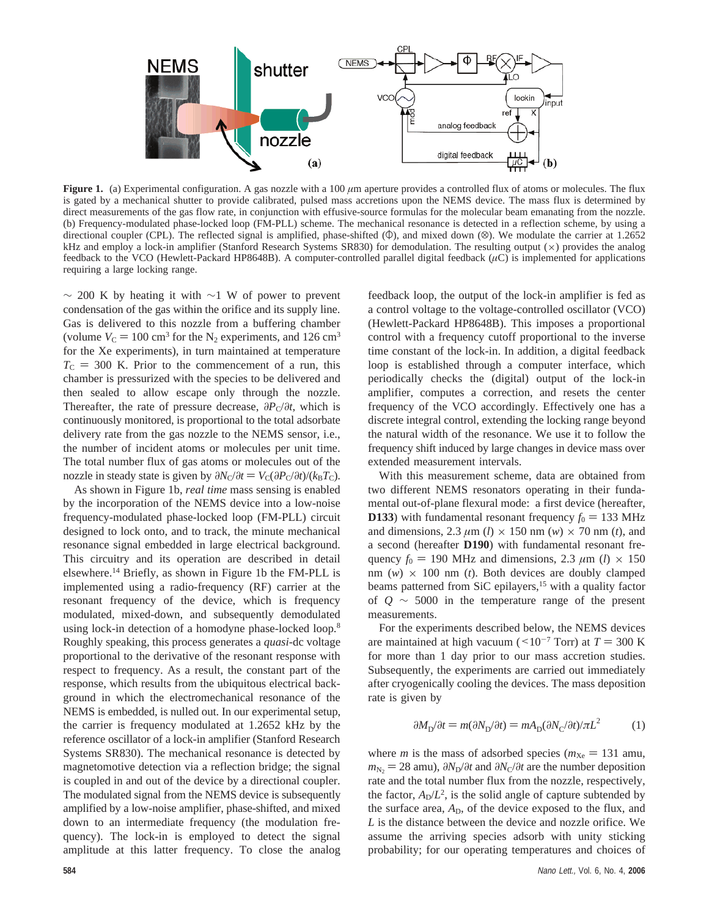

**Figure 1.** (a) Experimental configuration. A gas nozzle with a 100  $\mu$ m aperture provides a controlled flux of atoms or molecules. The flux is gated by a mechanical shutter to provide calibrated, pulsed mass accretions upon the NEMS device. The mass flux is determined by direct measurements of the gas flow rate, in conjunction with effusive-source formulas for the molecular beam emanating from the nozzle. (b) Frequency-modulated phase-locked loop (FM-PLL) scheme. The mechanical resonance is detected in a reflection scheme, by using a directional coupler (CPL). The reflected signal is amplified, phase-shifted  $(\Phi)$ , and mixed down  $(\otimes)$ . We modulate the carrier at 1.2652 kHz and employ a lock-in amplifier (Stanford Research Systems SR830) for demodulation. The resulting output ( $\times$ ) provides the analog feedback to the VCO (Hewlett-Packard HP8648B). A computer-controlled parallel digital feedback  $(\mu C)$  is implemented for applications requiring a large locking range.

 $\sim$  200 K by heating it with ∼1 W of power to prevent condensation of the gas within the orifice and its supply line. Gas is delivered to this nozzle from a buffering chamber (volume  $V_C = 100 \text{ cm}^3$  for the N<sub>2</sub> experiments, and 126 cm<sup>3</sup> for the Xe experiments), in turn maintained at temperature  $T<sub>C</sub> = 300$  K. Prior to the commencement of a run, this chamber is pressurized with the species to be delivered and then sealed to allow escape only through the nozzle. Thereafter, the rate of pressure decrease,  $\partial P_C/\partial t$ , which is continuously monitored, is proportional to the total adsorbate delivery rate from the gas nozzle to the NEMS sensor, i.e., the number of incident atoms or molecules per unit time. The total number flux of gas atoms or molecules out of the nozzle in steady state is given by  $\partial N_C/\partial t = V_C(\partial P_C/\partial t)/(k_B T_C)$ .

As shown in Figure 1b, *real time* mass sensing is enabled by the incorporation of the NEMS device into a low-noise frequency-modulated phase-locked loop (FM-PLL) circuit designed to lock onto, and to track, the minute mechanical resonance signal embedded in large electrical background. This circuitry and its operation are described in detail elsewhere.14 Briefly, as shown in Figure 1b the FM-PLL is implemented using a radio-frequency (RF) carrier at the resonant frequency of the device, which is frequency modulated, mixed-down, and subsequently demodulated using lock-in detection of a homodyne phase-locked loop.8 Roughly speaking, this process generates a *quasi*-dc voltage proportional to the derivative of the resonant response with respect to frequency. As a result, the constant part of the response, which results from the ubiquitous electrical background in which the electromechanical resonance of the NEMS is embedded, is nulled out. In our experimental setup, the carrier is frequency modulated at 1.2652 kHz by the reference oscillator of a lock-in amplifier (Stanford Research Systems SR830). The mechanical resonance is detected by magnetomotive detection via a reflection bridge; the signal is coupled in and out of the device by a directional coupler. The modulated signal from the NEMS device is subsequently amplified by a low-noise amplifier, phase-shifted, and mixed down to an intermediate frequency (the modulation frequency). The lock-in is employed to detect the signal amplitude at this latter frequency. To close the analog

feedback loop, the output of the lock-in amplifier is fed as a control voltage to the voltage-controlled oscillator (VCO) (Hewlett-Packard HP8648B). This imposes a proportional control with a frequency cutoff proportional to the inverse time constant of the lock-in. In addition, a digital feedback loop is established through a computer interface, which periodically checks the (digital) output of the lock-in amplifier, computes a correction, and resets the center frequency of the VCO accordingly. Effectively one has a discrete integral control, extending the locking range beyond the natural width of the resonance. We use it to follow the frequency shift induced by large changes in device mass over extended measurement intervals.

With this measurement scheme, data are obtained from two different NEMS resonators operating in their fundamental out-of-plane flexural mode: a first device (hereafter, **D133**) with fundamental resonant frequency  $f_0 = 133 \text{ MHz}$ and dimensions, 2.3  $\mu$ m (*l*)  $\times$  150 nm (*w*)  $\times$  70 nm (*t*), and a second (hereafter **D190**) with fundamental resonant frequency  $f_0 = 190$  MHz and dimensions, 2.3  $\mu$ m (*l*) × 150 nm  $(w) \times 100$  nm  $(t)$ . Both devices are doubly clamped beams patterned from SiC epilayers,<sup>15</sup> with a quality factor of *Q* ∼ 5000 in the temperature range of the present measurements.

For the experiments described below, the NEMS devices are maintained at high vacuum ( $\leq 10^{-7}$  Torr) at  $T = 300$  K for more than 1 day prior to our mass accretion studies. Subsequently, the experiments are carried out immediately after cryogenically cooling the devices. The mass deposition rate is given by

$$
\partial M_{\rm D}/\partial t = m(\partial N_{\rm D}/\partial t) = mA_{\rm D}(\partial N_{\rm C}/\partial t)/\pi L^2 \tag{1}
$$

where *m* is the mass of adsorbed species ( $m_{Xe} = 131$  amu,  $m_{N_2} = 28$  amu),  $\partial N_D / \partial t$  and  $\partial N_C / \partial t$  are the number deposition rate and the total number flux from the nozzle, respectively, the factor,  $A_D/L^2$ , is the solid angle of capture subtended by the surface area,  $A_D$ , of the device exposed to the flux, and *L* is the distance between the device and nozzle orifice. We assume the arriving species adsorb with unity sticking probability; for our operating temperatures and choices of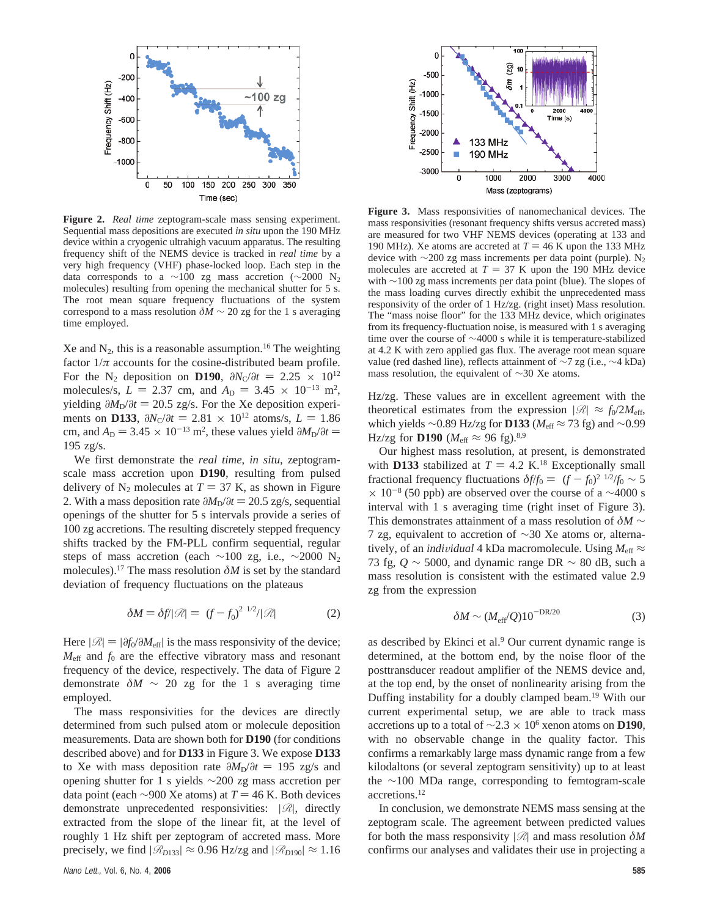

**Figure 2.** *Real time* zeptogram-scale mass sensing experiment. Sequential mass depositions are executed *in situ* upon the 190 MHz device within a cryogenic ultrahigh vacuum apparatus. The resulting frequency shift of the NEMS device is tracked in *real time* by a very high frequency (VHF) phase-locked loop. Each step in the data corresponds to a ∼100 zg mass accretion (∼2000 N<sub>2</sub> molecules) resulting from opening the mechanical shutter for 5 s. The root mean square frequency fluctuations of the system correspond to a mass resolution  $\delta M \sim 20$  zg for the 1 s averaging time employed.

Xe and  $N_2$ , this is a reasonable assumption.<sup>16</sup> The weighting factor  $1/\pi$  accounts for the cosine-distributed beam profile. For the N<sub>2</sub> deposition on **D190**,  $\partial N_C/\partial t = 2.25 \times 10^{12}$ molecules/s,  $L = 2.37$  cm, and  $A_D = 3.45 \times 10^{-13}$  m<sup>2</sup>, vielding  $\frac{\partial M_{\odot}}{\partial t} = 20.5$  zg/s. For the Xe deposition experiyielding  $\partial M_{D}/\partial t = 20.5$  zg/s. For the Xe deposition experiments on **D133**,  $\partial N_C/\partial t = 2.81 \times 10^{12}$  atoms/s,  $L = 1.86$ cm, and  $A_D = 3.45 \times 10^{-13}$  m<sup>2</sup>, these values yield  $\partial M_D / \partial t = 195$  zo/s 195 zg/s.

We first demonstrate the *real time*, *in situ*, zeptogramscale mass accretion upon **D190**, resulting from pulsed delivery of  $N_2$  molecules at  $T = 37$  K, as shown in Figure 2. With a mass deposition rate  $\partial M_{D}/\partial t = 20.5$  zg/s, sequential openings of the shutter for 5 s intervals provide a series of 100 zg accretions. The resulting discretely stepped frequency shifts tracked by the FM-PLL confirm sequential, regular steps of mass accretion (each ~100 zg, i.e., ~2000 N<sub>2</sub> molecules).17 The mass resolution *δM* is set by the standard deviation of frequency fluctuations on the plateaus

$$
\delta M = \delta f / |\mathcal{R}| = \langle (f - f_0)^2 \rangle^{1/2} / |\mathcal{R}| \tag{2}
$$

Here  $|\mathcal{R}| = |\partial f_0 / \partial M_{\text{eff}}|$  is the mass responsivity of the device;  $M_{\text{eff}}$  and  $f_0$  are the effective vibratory mass and resonant frequency of the device, respectively. The data of Figure 2 demonstrate  $\delta M \sim 20$  zg for the 1 s averaging time employed.

The mass responsivities for the devices are directly determined from such pulsed atom or molecule deposition measurements. Data are shown both for **D190** (for conditions described above) and for **D133** in Figure 3. We expose **D133** to Xe with mass deposition rate  $\partial M_{\rm D}/\partial t = 195$  zg/s and opening shutter for 1 s yields ∼200 zg mass accretion per data point (each  $\sim$ 900 Xe atoms) at *T* = 46 K. Both devices demonstrate unprecedented responsivities: |*R*|, directly extracted from the slope of the linear fit, at the level of roughly 1 Hz shift per zeptogram of accreted mass. More precisely, we find  $|\mathcal{R}_{D133}| \approx 0.96$  Hz/zg and  $|\mathcal{R}_{D190}| \approx 1.16$ 



**Figure 3.** Mass responsivities of nanomechanical devices. The mass responsivities (resonant frequency shifts versus accreted mass) are measured for two VHF NEMS devices (operating at 133 and 190 MHz). Xe atoms are accreted at  $T = 46$  K upon the 133 MHz device with  $∼200$  zg mass increments per data point (purple). N<sub>2</sub> molecules are accreted at  $T = 37$  K upon the 190 MHz device with ∼100 zg mass increments per data point (blue). The slopes of the mass loading curves directly exhibit the unprecedented mass responsivity of the order of 1 Hz/zg. (right inset) Mass resolution. The "mass noise floor" for the 133 MHz device, which originates from its frequency-fluctuation noise, is measured with 1 s averaging time over the course of ∼4000 s while it is temperature-stabilized at 4.2 K with zero applied gas flux. The average root mean square value (red dashed line), reflects attainment of ∼7 zg (i.e., ∼4 kDa) mass resolution, the equivalent of ∼30 Xe atoms.

Hz/zg. These values are in excellent agreement with the theoretical estimates from the expression  $|\mathcal{R}| \approx f_0/2M_{\text{eff}}$ , which yields ∼0.89 Hz/zg for **D133** (*M*eff ≈ 73 fg) and ∼0.99 Hz/zg for **D190** ( $M_{\text{eff}} \approx 96$  fg).<sup>8,9</sup>

Our highest mass resolution, at present, is demonstrated with **D133** stabilized at  $T = 4.2$  K.<sup>18</sup> Exceptionally small fractional frequency fluctuations  $\delta f/f_0 = \langle (f - f_0)^2 \rangle^{1/2} / f_0 \sim 5$ <br>  $\times 10^{-8}$  (50 ppb) are observed over the course of a  $\sim 4000$  s  $\times$  10<sup>-8</sup> (50 ppb) are observed over the course of a ~4000 s interval with 1 s averaging time (right inset of Figure 3). This demonstrates attainment of a mass resolution of *δM* ∼ 7 zg, equivalent to accretion of ∼30 Xe atoms or, alternatively, of an *individual* 4 kDa macromolecule. Using  $M_{\text{eff}} \approx$ 73 fg, *Q* ∼ 5000, and dynamic range DR ∼ 80 dB, such a mass resolution is consistent with the estimated value 2.9 zg from the expression

$$
\delta M \sim (M_{\rm eff}/Q) 10^{-\text{DR}/20} \tag{3}
$$

as described by Ekinci et al.<sup>9</sup> Our current dynamic range is determined, at the bottom end, by the noise floor of the posttransducer readout amplifier of the NEMS device and, at the top end, by the onset of nonlinearity arising from the Duffing instability for a doubly clamped beam.19 With our current experimental setup, we are able to track mass accretions up to a total of ∼2.3 × 106 xenon atoms on **D190**, with no observable change in the quality factor. This confirms a remarkably large mass dynamic range from a few kilodaltons (or several zeptogram sensitivity) up to at least the ∼100 MDa range, corresponding to femtogram-scale accretions.12

In conclusion, we demonstrate NEMS mass sensing at the zeptogram scale. The agreement between predicted values for both the mass responsivity |*R*| and mass resolution *δM* confirms our analyses and validates their use in projecting a